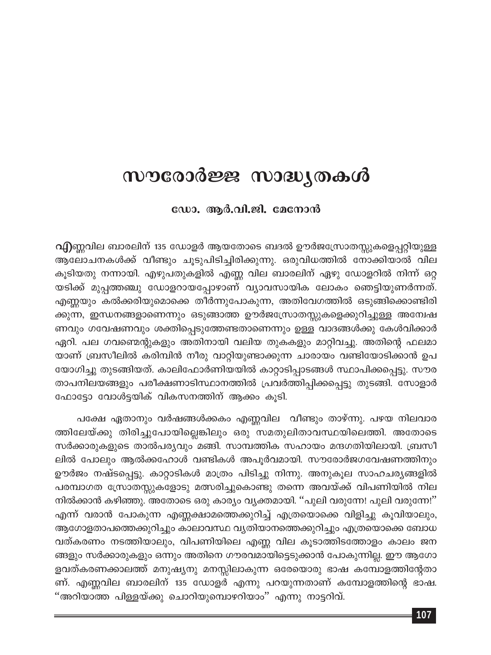# സൗരോർജ്ജ സാദ്ധ്യതകൾ

ഡോ. ആർ.വി.ജി. മേനോൻ

വിന്നുവില ബാരലിന് 135 ഡോളർ ആയതോടെ ബദൽ ഊർജസ്രോതസ്സുകളെപ്പറ്റിയുള്ള ആലോചനകൾക്ക് വീണ്ടും ചൂടുപിടിച്ചിരിക്കുന്നു. ഒരുവിധത്തിൽ നോക്കിയാൽ വില കൂടിയതു നന്നായി. എഴുപതുകളിൽ എണ്ണ വില ബാരലിന് ഏഴു ഡോളറിൽ നിന്ന് ഒറ്റ യടിക്ക് മുപ്പത്തഞ്ചു ഡോളറായപ്പോഴാണ് വ്യാവസായിക ലോകം ഞെട്ടിയുണർന്നത്. എണ്ണയും കൽക്കരിയുമൊക്കെ തീർന്നുപോകുന്ന, അതിവേഗത്തിൽ ഒടുങ്ങിക്കൊണ്ടിരി ക്കുന്ന, ഇന്ധനങ്ങളാണെന്നും ഒടുങ്ങാത്ത ഊർജസ്രോതസ്സുകളെക്കുറിച്ചുള്ള അന്വേഷ ണവും ഗവേഷണവും ശക്തിപ്പെടുത്തേണ്ടതാണെന്നും ഉള്ള വാദങ്ങൾക്കു കേൾവിക്കാർ ഏറി. പല ഗവണ്മെന്റുകളും അതിനായി വലിയ തുകകളും മാറ്റിവച്ചു. അതിന്റെ ഫലമാ യാണ് ബ്രസീലിൽ കരിമ്പിൻ നീരു വാറ്റിയുണ്ടാക്കുന്ന ചാരായം വണ്ടിയോടിക്കാൻ ഉപ യോഗിച്ചു തുടങ്ങിയത്. കാലിഫോർണിയയിൽ കാറ്റാടിപ്പാടങ്ങൾ സ്ഥാപിക്കപ്പെട്ടു. സൗര താപനിലയങ്ങളും പരീക്ഷണാടിസ്ഥാനത്തിൽ പ്രവർത്തിപ്പിക്കപ്പെട്ടു തുടങ്ങി. സോളാർ ഫോട്ടോ വോൾട്ടയിക് വികസനത്തിന് ആക്കം കൂടി.

പക്ഷേ ഏതാനും വർഷങ്ങൾക്കകം എണ്ണവില വീണ്ടും താഴ്ന്നു. പഴയ നിലവാര ത്തിലേയ്ക്കു തിരിച്ചുപോയില്ലെങ്കിലും ഒരു സമതുലിതാവസ്ഥയിലെത്തി. അതോടെ സർക്കാരുകളുടെ താൽപര്യവും മങ്ങി. സാമ്പത്തിക സഹായം മന്ദഗതിയിലായി. ബ്രസീ ലിൽ പോലും ആൽക്കഹോൾ വണ്ടികൾ അപൂർവമായി. സൗരോർജഗവേഷണത്തിനും ഊർജം നഷ്ടപ്പെട്ടു. കാറ്റാടികൾ മാത്രം പിടിച്ചു നിന്നു. അനുകൂല സാഹചര്യങ്ങളിൽ പരമ്പാഗത സ്രോതസ്സുകളോടു മത്സരിച്ചുകൊണ്ടു തന്നെ അവയ്ക്ക് വിപണിയിൽ നില നിൽക്കാൻ കഴിഞ്ഞു. അതോടെ ഒരു കാര്യം വ്യക്തമായി. ''പുലി വരുന്നേ! പുലി വരുന്നേ!'' എന്ന് വരാൻ പോകുന്ന എണ്ണക്ഷാമത്തെക്കുറിച്ച് എത്രയൊക്കെ വിളിച്ചു കൂവിയാലും, ആഗോളതാപത്തെക്കുറിച്ചും കാലാവസ്ഥ വൃതിയാനത്തെക്കുറിച്ചും എത്രയൊക്കെ ബോധ വത്കരണം നടത്തിയാലും, വിപണിയിലെ എണ്ണ വില കൂടാത്തിടത്തോളം കാലം ജന ങ്ങളും സർക്കാരുകളും ഒന്നും അതിനെ ഗൗരവമായിട്ടെടുക്കാൻ പോകുന്നില്ല. ഈ ആഗോ ളവത്കരണക്കാലത്ത് മനുഷ്യനു മനസ്സിലാകുന്ന ഒരേയൊരു ഭാഷ കമ്പോളത്തിന്റേതാ ണ്. എണ്ണവില ബാരലിന് 135 ഡോളർ എന്നു പറയുന്നതാണ് കമ്പോളത്തിന്റെ ഭാഷ. ''അറിയാത്ത പിള്ളയ്ക്കു ചൊറിയുമ്പൊഴറിയാം'' എന്നു നാട്ടറിവ്.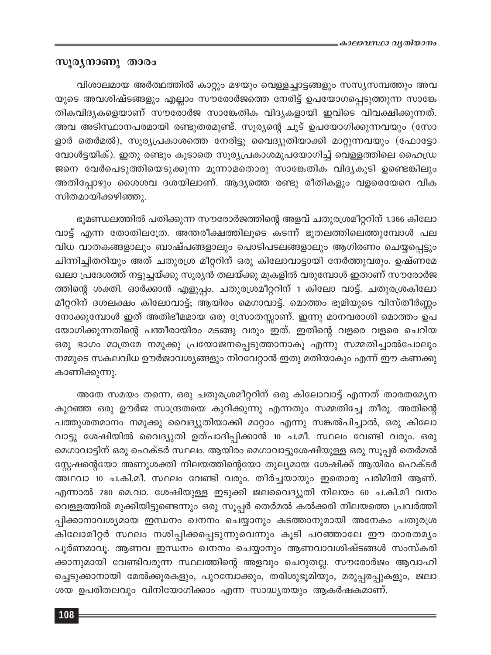#### സൂര്യനാണു താരം

വിശാലമായ അർത്ഥത്തിൽ കാറ്റും മഴയും വെള്ളച്ചാട്ടങ്ങളും സസ്യസമ്പത്തും അവ യുടെ അവശിഷ്ടങ്ങളും എല്ലാം സൗരോർജത്തെ നേരിട്ട് ഉപയോഗപ്പെടുത്തുന്ന സാങ്കേ തികവിദൃകളെയാണ് സൗരോർജ സാങ്കേതിക വിദൃകളായി ഇവിടെ വിവക്ഷിക്കുന്നത്. അവ അടിസ്ഥാനപരമായി രണ്ടുതരമുണ്ട്. സൂര്യന്റെ ചൂട് ഉപയോഗിക്കുന്നവയും (സോ ളാർ തെർമൽ), സൂര്യപ്രകാശത്തെ നേരിട്ടു വൈദ്യുതിയാക്കി മാറ്റുന്നവയും (ഫോട്ടോ വോൾട്ടയിക്). ഇതു രണ്ടും കൂടാതെ സൂര്യപ്രകാശമുപയോഗിച്ച് വെള്ളത്തിലെ ഹൈഡ്ര ജനെ വേർപെടുത്തിയെടുക്കുന്ന മൂന്നാമതൊരു സാങ്കേതിക വിദ്യകൂടി ഉണ്ടെങ്കിലും അതിപ്പോഴും ശൈശവ ദശയിലാണ്. ആദ്യത്തെ രണ്ടു രീതികളും വളരെയേറെ വിക സിതമായിക്കഴിഞ്ഞു.

ഭൂമണ്ഡലത്തിൽ പതിക്കുന്ന സൗരോർജത്തിന്റെ അളവ് ചതുരശ്രമീറ്ററിന് 1.366 കിലോ വാട്ട് എന്ന തോതിലത്രേ. അന്തരീക്ഷത്തിലൂടെ കടന്ന് ഭൂതലത്തിലെത്തുമ്പോൾ പല വിധ വാതകങ്ങളാലും ബാഷ്പങ്ങളാലും പൊടിപടലങ്ങളാലും ആഗിരണം ചെയ്യപ്പെട്ടും ചിന്നിച്ചിതറിയും അത് ചതുരശ്ര മീറ്ററിന് ഒരു കിലോവാട്ടായി നേർത്തുവരും. ഉഷ്ണമേ ഖലാ പ്രദേശത്ത് നട്ടുച്ചയ്ക്കു സൂര്യൻ തലയ്ക്കു മുകളിൽ വരുമ്പോൾ ഇതാണ് സൗരോർജ ത്തിന്റെ ശക്തി. ഓർക്കാൻ എളുപ്പം. ചതുരശ്രമീറ്ററിന് 1 കിലോ വാട്ട്. ചതുരശ്രകിലോ മീറ്ററിന് ദശലക്ഷം കിലോവാട്ട്; ആയിരം മെഗാവാട്ട്. മൊത്തം ഭൂമിയുടെ വിസ്തീർണ്ണം നോക്കുമ്പോൾ ഇത് അതിഭീമമായ ഒരു സ്രോതസ്സാണ്. ഇന്നു മാനവരാശി മൊത്തം ഉപ യോഗിക്കുന്നതിന്റെ പന്തീരായിരം മടങ്ങു വരും ഇത്. ഇതിന്റെ വളരെ വളരെ ചെറിയ ഒരു ഭാഗം മാത്രമേ നമുക്കു പ്രയോജനപ്പെടുത്താനാകൂ എന്നു സമ്മതിച്ചാൽപോലും നമ്മുടെ സകലവിധ ഊർജാവശ്യങ്ങളും നിറവേറ്റാൻ ഇതു മതിയാകും എന്ന് ഈ കണക്കു കാണിക്കുന്നു.

അതേ സമയം തന്നെ, ഒരു ചതുരശ്രമീറ്ററിന് ഒരു കിലോവാട്ട് എന്നത് താരതമ്യേന കുറഞ്ഞ ഒരു ഊർജ സാന്ദ്രതയെ കുറിക്കുന്നു എന്നതും സമ്മതിച്ചേ തീരൂ. അതിന്റെ പത്തുശതമാനം നമുക്കു വൈദ്യുതിയാക്കി മാറ്റാം എന്നു സങ്കൽപിച്ചാൽ, ഒരു കിലോ വാട്ടു ശേഷിയിൽ വൈദ്യുതി ഉത്പാദിപ്പിക്കാൻ 10 ച.മീ. സ്ഥലം വേണ്ടി വരും. ഒരു മെഗാവാട്ടിന് ഒരു ഹെക്ടർ സ്ഥലം. ആയിരം മെഗാവാട്ടുശേഷിയുള്ള ഒരു സൂപ്പർ തെർമൽ സ്റ്റേഷന്റെയോ അണുശക്തി നിലയത്തിന്റെയോ തുല്യമായ ശേഷിക്ക് ആയിരം ഹെക്ടർ അഥവാ 10 ച.കി.മീ. സ്ഥലം വേണ്ടി വരും. തീർച്ചയായും ഇതൊരു പരിമിതി ആണ്. എന്നാൽ 780 മെ.വാ. ശേഷിയുള്ള ഇടുക്കി ജലവൈദ്യുതി നിലയം 60 ച.കി.മീ വനം വെള്ളത്തിൽ മുക്കിയിട്ടുണ്ടെന്നും ഒരു സൂപ്പർ തെർമൽ കൽക്കരി നിലയത്തെ പ്രവർത്തി പ്പിക്കാനാവശ്യമായ ഇന്ധനം ഖനനം ചെയ്യാനും കടത്താനുമായി അനേകം ചതുരശ്ര കിലോമീറ്റർ സ്ഥലം നശിപ്പിക്കപ്പെടുന്നുവെന്നും കൂടി പറഞ്ഞാലേ ഈ താരതമ്യം പൂർണമാവൂ. ആണവ ഇന്ധനം ഖനനം ചെയ്യാനും ആണവാവശിഷ്ടങ്ങൾ സംസ്കരി ക്കാനുമായി വേണ്ടിവരുന്ന സ്ഥലത്തിന്റെ അളവും ചെറുതല്ല. സൗരോർജം ആവാഹി ച്ചെടുക്കാനായി മേൽക്കൂരകളും, പുറമ്പോക്കും, തരിശുഭൂമിയും, മരുപ്പരപ്പുകളും, ജലാ ശയ ഉപരിതലവും വിനിയോഗിക്കാം എന്ന സാദ്ധ്യതയും ആകർഷകമാണ്.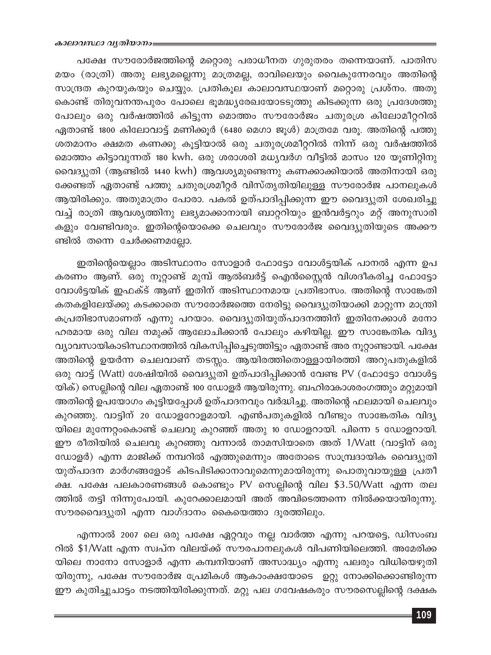പക്ഷേ സൗരോർജത്തിന്റെ മറ്റൊരു പരാധീനത ഗുരുതരം തന്നെയാണ്. പാതിസ മയം (രാത്രി) അതു ലഭ്യമല്ലെന്നു മാത്രമല്ല, രാവിലെയും വൈകുന്നേരവും അതിന്റെ സാന്ദ്രത കുറയുകയും ചെയ്യും. പ്രതികൂല കാലാവസ്ഥയാണ് മറ്റൊരു പ്രശ്നം. അതു കൊണ്ട് തിരുവനന്തപുരം പോലെ ഭൂമദ്ധ്യരേഖയോടടുത്തു കിടക്കുന്ന ഒരു പ്രദേശത്തു പോലും ഒരു വർഷത്തിൽ കിട്ടുന്ന മൊത്തം സൗരോർജം ചതുരശ്ര കിലോമീറ്ററിൽ ഏതാണ്ട് 1800 കിലോവാട്ട് മണിക്കൂർ (6480 മെഗാ ജൂൾ) മാത്രമേ വരൂ. അതിന്റെ പത്തു ശതമാനം ക്ഷമത കണക്കു കൂട്ടിയാൽ ഒരു ചതുരശ്രമീറ്ററിൽ നിന്ന് ഒരു വർഷത്തിൽ മൊത്തം കിട്ടാവുന്നത് 180 kwh. ഒരു ശരാശരി മധ്യവർഗ വീട്ടിൽ മാസം 120 യൂണിറ്റിനു വൈദ്യുതി (ആണ്ടിൽ 1440 kwh) ആവശ്യമുണ്ടെന്നു കണക്കാക്കിയാൽ അതിനായി ഒരു ക്കേണ്ടത് ഏതാണ്ട് പത്തു ചതുരശ്രമീറ്റർ വിസ്തൃതിയിലുള്ള സൗരോർജ പാനലുകൾ ആയിരിക്കും. അതുമാത്രം പോരാ. പകൽ ഉത്പാദിപ്പിക്കുന്ന ഈ വൈദ്യുതി ശേഖരിച്ചു വച്ച് രാത്രി ആവശ്യത്തിനു ലഭ്യമാക്കാനായി ബാറ്ററിയും ഇൻവർട്ടറും മറ്റ് അനുസാരി കളും വേണ്ടിവരും. ഇതിന്റെയൊക്കെ ചെലവും സൗരോർജ വൈദ്യുതിയുടെ അക്കൗ ണ്ടിൽ തന്നെ ചേർക്കണമല്ലോ.

ഇതിന്റെയെല്ലാം അടിസ്ഥാനം സോളാർ ഫോട്ടോ വോൾട്ടയിക് പാനൽ എന്ന ഉപ കരണം ആണ്. ഒരു നൂറ്റാണ്ട് മുമ്പ് ആൽബർട്ട് ഐൻസ്റ്റൈൻ വിശദീകരിച്ച ഫോട്ടോ വോൾട്ടയിക് ഇഫക്ട് ആണ് ഇതിന് അടിസ്ഥാനമായ പ്രതിഭാസം. അതിന്റെ സാങ്കേതി കതകളിലേയ്ക്കു കടക്കാതെ സൗരോർജത്തെ നേരിട്ടു വൈദ്യുതിയാക്കി മാറ്റുന്ന മാന്ത്രി കപ്രതിഭാസമാണത് എന്നു പറയാം. വൈദ്യുതിയുത്പാദനത്തിന് ഇതിനേക്കാൾ മനോ ഹരമായ ഒരു വില നമുക്ക് ആലോചിക്കാൻ പോലും കഴിയില്ല. ഈ സാങ്കേതിക വിദ്യ വ്യാവസായികാടിസ്ഥാനത്തിൽ വികസിപ്പിച്ചെടുത്തിട്ടും ഏതാണ്ട് അര നൂറ്റാണ്ടായി. പക്ഷേ അതിന്റെ ഉയർന്ന ചെലവാണ് തടസ്സം. ആയിരത്തിതൊള്ളായിരത്തി അറുപതുകളിൽ ഒരു വാട്ട് (Watt) ശേഷിയിൽ വൈദ്യുതി ഉത്പാദിപ്പിക്കാൻ വേണ്ട PV (ഫോട്ടോ വോൾട്ട യിക്) സെല്ലിന്റെ വില ഏതാണ്ട് 100 ഡോളർ ആയിരുന്നു. ബഹിരാകാശരംഗത്തും മറ്റുമായി അതിന്റെ ഉപയോഗം കൂട്ടിയപ്പോൾ ഉത്പാദനവും വർദ്ധിച്ചു. അതിന്റെ ഫലമായി ചെലവും കുറഞ്ഞു. വാട്ടിന് 20 ഡോളറോളമായി. എൺപതുകളിൽ വീണ്ടും സാങ്കേതിക വിദ്യ യിലെ മുന്നേറ്റംകൊണ്ട് ചെലവു കുറഞ്ഞ് അതു 10 ഡോളറായി. പിന്നെ 5 ഡോളറായി. ഈ രീതിയിൽ ചെലവു കുറഞ്ഞു വന്നാൽ താമസിയാതെ അത് 1/Watt (വാട്ടിന് ഒരു ഡോളർ) എന്ന മാജിക്ക് നമ്പറിൽ എത്തുമെന്നും അതോടെ സാമ്പ്രദായിക വൈദ്യുതി യുത്പാദന മാർഗങ്ങളോട് കിടപിടിക്കാനാവുമെന്നുമായിരുന്നു പൊതുവായുള്ള പ്രതീ ക്ഷ. പക്ഷേ പലകാരണങ്ങൾ കൊണ്ടും PV സെല്ലിന്റെ വില \$3.50/Watt എന്ന തല ത്തിൽ തട്ടി നിന്നുപോയി. കുറേക്കാലമായി അത് അവിടെത്തന്നെ നിൽക്കയായിരുന്നു. സൗരവൈദ്യുതി എന്ന വാഗ്ദാനം കൈയെത്താ ദൂരത്തിലും.

എന്നാൽ 2007 ലെ ഒരു പക്ഷേ ഏറ്റവും നല്ല വാർത്ത എന്നു പറയട്ടെ, ഡിസംബ റിൽ \$1/Watt എന്ന സ്വപ്ന വിലയ്ക്ക് സൗരപാനലുകൾ വിപണിയിലെത്തി. അമേരിക്ക യിലെ നാനോ സോളാർ എന്ന കമ്പനിയാണ് അസാദ്ധ്യം എന്നു പലരും വിധിയെഴുതി യിരുന്നു, പക്ഷേ സൗരോർജ പ്രേമികൾ ആകാംക്ഷയോടെ ഉറ്റു നോക്കിക്കൊണ്ടിരുന്ന ഈ കുതിച്ചുചാട്ടം നടത്തിയിരിക്കുന്നത്. മറ്റു പല ഗവേഷകരും സൗരസെല്ലിന്റെ ദക്ഷക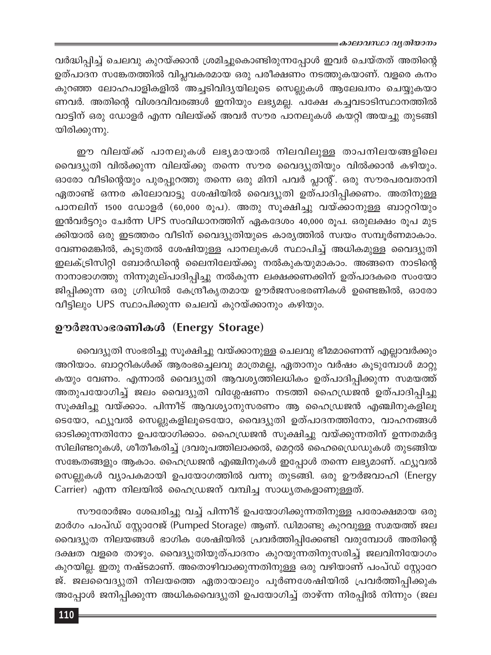#### ≡കാലാവസ്ഥാ വൃതിയാനം

വർദ്ധിപ്പിച്ച് ചെലവു കുറയ്ക്കാൻ ശ്രമിച്ചുകൊണ്ടിരുന്നപ്പോൾ ഇവർ ചെയ്തത് അതിന്റെ ഉത്പാദന സങ്കേതത്തിൽ വിപ്ലവകരമായ ഒരു പരീക്ഷണം നടത്തുകയാണ്. വളരെ കനം കുറഞ്ഞ ലോഹപാളികളിൽ അച്ചടിവിദ്യയിലൂടെ സെല്ലുകൾ ആലേഖനം ചെയ്യുകയാ ണവർ. അതിന്റെ വിശദവിവരങ്ങൾ ഇനിയും ലഭ്യമല്ല. പക്ഷേ കച്ചവടാടിസ്ഥാനത്തിൽ വാട്ടിന് ഒരു ഡോളർ എന്ന വിലയ്ക്ക് അവർ സൗര പാനലുകൾ കയറ്റി അയച്ചു തുടങ്ങി യിരിക്കുന്നു.

ഈ വിലയ്ക്ക് പാനലുകൾ ലഭ്യമായാൽ നിലവിലുള്ള താപനിലയങ്ങളിലെ വൈദ്യുതി വിൽക്കുന്ന വിലയ്ക്കു തന്നെ സൗര വൈദ്യുതിയും വിൽക്കാൻ കഴിയും. ഓരോ വീടിന്റെയും പുരപ്പുറത്തു തന്നെ ഒരു മിനി പവർ പ്ലാന്റ്. ഒരു സൗരപരവതാനി ഏതാണ്ട് ഒന്നര കിലോവാട്ടു ശേഷിയിൽ വൈദ്യുതി ഉത്പാദിപ്പിക്കണം. അതിനുള്ള പാനലിന് 1500 ഡോളർ (60,000 രൂപ). അതു സൂക്ഷിച്ചു വയ്ക്കാനുള്ള ബാറ്ററിയും ഇൻവർട്ടറും ചേർന്ന UPS സംവിധാനത്തിന് ഏകദേശം 40,000 രൂപ. ഒരുലക്ഷം രൂപ മുട ക്കിയാൽ ഒരു ഇടത്തരം വീടിന് വൈദ്യുതിയുടെ കാര്യത്തിൽ സ്വയം സമ്പൂർണമാകാം. വേണമെങ്കിൽ, കൂടുതൽ ശേഷിയുള്ള പാനലുകൾ സ്ഥാപിച്ച് അധികമുള്ള വൈദ്യുതി ഇലക്ട്രിസിറ്റി ബോർഡിന്റെ ലൈനിലേയ്ക്കു നൽകുകയുമാകാം. അങ്ങനെ നാടിന്റെ നാനാഭാഗത്തു നിന്നുമുല്പാദിപ്പിച്ചു നൽകുന്ന ലക്ഷക്കണക്കിന് ഉത്പാദകരെ സംയോ ജിപ്പിക്കുന്ന ഒരു ഗ്രിഡിൽ കേന്ദ്രീകൃതമായ ഊർജസംഭരണികൾ ഉണ്ടെങ്കിൽ, ഓരോ വീട്ടിലും UPS സ്ഥാപിക്കുന്ന ചെലവ് കുറയ്ക്കാനും കഴിയും.

## ഊർജസംഭരണികൾ (Energy Storage)

വൈദ്യുതി സംഭരിച്ചു സൂക്ഷിച്ചു വയ്ക്കാനുള്ള ചെലവു ഭീമമാണെന്ന് എല്ലാവർക്കും അറിയാം. ബാറ്ററികൾക്ക് ആരംഭച്ചെലവു മാത്രമല്ല, ഏതാനും വർഷം കൂടുമ്പോൾ മാറ്റു കയും വേണം. എന്നാൽ വൈദ്യുതി ആവശ്യത്തിലധികം ഉത്പാദിപ്പിക്കുന്ന സമയത്ത് അതുപയോഗിച്ച് ജലം വൈദ്യുതി വിശ്ലേഷണം നടത്തി ഹൈഡ്രജൻ ഉത്പാദിപ്പിച്ചു സൂക്ഷിച്ചു വയ്ക്കാം. പിന്നീട് ആവശ്യാനുസരണം ആ ഹൈഡ്രജൻ എഞ്ചിനുകളിലൂ ടെയോ, ഫ്യൂവൽ സെല്ലുകളിലൂടെയോ, വൈദ്യുതി ഉത്പാദനത്തിനോ, വാഹനങ്ങൾ ഓടിക്കുന്നതിനോ ഉപയോഗിക്കാം. ഹൈഡ്രജൻ സൂക്ഷിച്ചു വയ്ക്കുന്നതിന് ഉന്നതമർദ്ദ സിലിണ്ടറുകൾ, ശീതീകരിച്ച് ദ്രവരൂപത്തിലാക്കൽ, മെറ്റൽ ഹൈഡ്രൈഡുകൾ തുടങ്ങിയ സങ്കേതങ്ങളും ആകാം. ഹൈഡ്രജൻ എഞ്ചിനുകൾ ഇപ്പോൾ തന്നെ ലഭ്യമാണ്. ഫ്യൂവൽ സെല്ലുകൾ വ്യാപകമായി ഉപയോഗത്തിൽ വന്നു തുടങ്ങി. ഒരു ഊർജവാഹി (Energy Carrier) എന്ന നിലയിൽ ഹൈഡ്രജന് വമ്പിച്ച സാധ്യതകളാണുള്ളത്.

സൗരോർജം ശേഖരിച്ചു വച്ച് പിന്നീട് ഉപയോഗിക്കുന്നതിനുള്ള പരോക്ഷമായ ഒരു മാർഗം പംപ്ഡ് സ്റ്റോറേജ് (Pumped Storage) ആണ്. ഡിമാണ്ടു കുറവുള്ള സമയത്ത് ജല വൈദ്യുത നിലയങ്ങൾ ഭാഗിക ശേഷിയിൽ പ്രവർത്തിപ്പിക്കേണ്ടി വരുമ്പോൾ അതിന്റെ ദക്ഷത വളരെ താഴും. വൈദ്യുതിയുത്പാദനം കുറയുന്നതിനുസരിച്ച് ജലവിനിയോഗം കുറയില്ല. ഇതു നഷ്ടമാണ്. അതൊഴിവാക്കുന്നതിനുള്ള ഒരു വഴിയാണ് പംപ്ഡ് സ്റ്റോറേ ജ്. ജലവൈദ്യുതി നിലയത്തെ ഏതായാലും പൂർണശേഷിയിൽ പ്രവർത്തിപ്പിക്കുക അപ്പോൾ ജനിപ്പിക്കുന്ന അധികവൈദ്യുതി ഉപയോഗിച്ച് താഴ്ന്ന നിരപ്പിൽ നിന്നും (ജല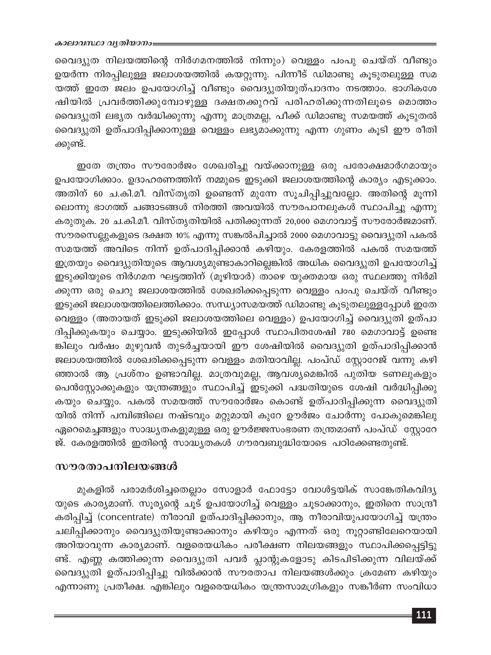വൈദ്യുത നിലയത്തിന്റെ നിർഗമനത്തിൽ നിന്നും) വെള്ളം പംപു ചെയ്ത് വീണ്ടും ഉയർന്ന നിരപ്പിലുള്ള ജലാശയത്തിൽ കയറ്റുന്നു. പിന്നീട് ഡിമാണ്ടു കൂടുതലുള്ള സമ യത്ത് ഇതേ ജലം ഉപയോഗിച്ച് വീണ്ടും വൈദ്യുതിയുത്പാദനം നടത്താം. ഭാഗികശേ ഷിയിൽ പ്രവർത്തിക്കുമ്പോഴുള്ള ദക്ഷതക്കുറവ് പരിഹരിക്കുന്നതിലൂടെ മൊത്തം വൈദ്യുതി ലഭ്യത വർദ്ധിക്കുന്നു എന്നു മാത്രമല്ല, പീക്ക് ഡിമാണ്ടു സമയത്ത് കൂടുതൽ വൈദ്യുതി ഉത്പാദിപ്പിക്കാനുള്ള വെള്ളം ലഭ്യമാക്കുന്നു എന്ന ഗുണം കൂടി ഈ രീതി ക്കുണ്ട്.

ഇതേ തന്ത്രം സൗരോർജം ശേഖരിച്ചു വയ്ക്കാനുള്ള ഒരു പരോക്ഷമാർഗമായും ഉപയോഗിക്കാം. ഉദാഹരണത്തിന് നമ്മുടെ ഇടുക്കി ജലാശയത്തിന്റെ കാര്യം എടുക്കാം. അതിന് 60 ച.കി.മീ. വിസ്തൃതി ഉണ്ടെന്ന് മുന്നേ സൂചിപ്പിച്ചുവല്ലോ. അതിന്റെ മൂന്നി ലൊന്നു ഭാഗത്ത് ചങ്ങാടങ്ങൾ നിരത്തി അവയിൽ സൗരപാനലുകൾ സ്ഥാപിച്ചു എന്നു കരുതുക. 20 ച.കി.മീ. വിസ്തൃതിയിൽ പതിക്കുന്നത് 20,000 മെഗാവാട്ട് സൗരോർജമാണ്. സൗരസെല്ലുകളുടെ ദക്ഷത 10% എന്നു സങ്കൽപിച്ചാൽ 2000 മെഗാവാട്ടു വൈദ്യുതി പകൽ സമയത്ത് അവിടെ നിന്ന് ഉത്പാദിപ്പിക്കാൻ കഴിയും. കേരളത്തിൽ പകൽ സമയത്ത് ഇത്രയും വൈദ്യുതിയുടെ ആവശ്യമുണ്ടാകാറില്ലെങ്കിൽ അധിക വൈദ്യുതി ഉപയോഗിച്ച് ഇടുക്കിയുടെ നിർഗമന ഘട്ടത്തിന് (മൂഴിയാർ) താഴെ യുക്തമായ ഒരു സ്ഥലത്തു നിർമി ക്കുന്ന ഒരു ചെറു ജലാശയത്തിൽ ശേഖരിക്കപ്പെടുന്ന വെള്ളം പംപു ചെയ്ത് വീണ്ടും ഇടുക്കി ജലാശയത്തിലെത്തിക്കാം. സന്ധ്യാസമയത്ത് ഡിമാണ്ടു കൂടുതലുള്ളപ്പോൾ ഇതേ വെള്ളം (അതായത് ഇടുക്കി ജലാശയത്തിലെ വെള്ളം) ഉപയോഗിച്ച് വൈദ്യുതി ഉത്പാ ദിപ്പിക്കുകയും ചെയ്യാം. ഇടുക്കിയിൽ ഇപ്പോൾ സ്ഥാപിതശേഷി 780 മെഗാവാട്ട് ഉണ്ടെ ങ്കിലും വർഷം മുഴുവൻ തുടർച്ചയായി ഈ ശേഷിയിൽ വൈദ്യുതി ഉത്പാദിപ്പിക്കാൻ ജലാശയത്തിൽ ശേഖരിക്കപ്പെടുന്ന വെള്ളം മതിയാവില്ല. പംപ്ഡ് സ്റ്റോറേജ് വന്നു കഴി ഞ്ഞാൽ ആ പ്രശ്നം ഉണ്ടാവില്ല. മാത്രവുമല്ല, ആവശ്യമെങ്കിൽ പുതിയ ടണലുകളും പെൻസ്റ്റോക്കുകളും യന്ത്രങ്ങളും സ്ഥാപിച്ച് ഇടുക്കി പദ്ധതിയുടെ ശേഷി വർദ്ധിപ്പിക്കു കയും ചെയ്യും. പകൽ സമയത്ത് സൗരോർജം കൊണ്ട് ഉത്പാദിപ്പിക്കുന്ന വൈദ്യുതി യിൽ നിന്ന് പമ്പിങ്ങിലെ നഷ്ടവും മറ്റുമായി കുറേ ഊർജം ചോർന്നു പോകുമെങ്കിലു ഏറെമെച്ചങ്ങളും സാദ്ധ്യതകളുമുള്ള ഒരു ഊർജ്ജസംഭരണ തന്ത്രമാണ് പംപ്ഡ് സ്റ്റോറേ ജ്. കേരളത്തിൽ ഇതിന്റെ സാദ്ധ്യതകൾ ഗൗരവബുദ്ധിയോടെ പഠിക്കേണ്ടതുണ്ട്.

### സൗരതാപനിലയങ്ങൾ

മുകളിൽ പരാമർശിച്ചതെല്ലാം സോളാർ ഫോട്ടോ വോൾട്ടയിക് സാങ്കേതികവിദ്യ യുടെ കാര്യമാണ്. സൂര്യന്റെ ചൂട് ഉപയോഗിച്ച് വെള്ളം ചൂടാക്കാനും, ഇതിനെ സാന്ദ്രീ കരിപ്പിച്ച് (concentrate) നീരാവി ഉത്പാദിപ്പിക്കാനും, ആ നീരാവിയുപയോഗിച്ച് യന്ത്രം ചലിപ്പിക്കാനും വൈദ്യുതിയുണ്ടാക്കാനും കഴിയും എന്നത് ഒരു നൂറ്റാണ്ടിലേറെയായി അറിയാവുന്ന കാര്യമാണ്. വളരെയധികം പരീക്ഷണ നിലയങ്ങളും സ്ഥാപിക്കപ്പെട്ടിട്ടു ണ്ട്. എണ്ണ കത്തിക്കുന്ന വൈദ്യുതി പവർ പ്ലാന്റുകളോടു കിടപിടിക്കുന്ന വിലയ്ക്ക് വൈദ്യുതി ഉത്പാദിപ്പിച്ചു വിൽക്കാൻ സൗരതാപ നിലയങ്ങൾക്കും ക്രമേണ കഴിയും എന്നാണു പ്രതീക്ഷ. എങ്കിലും വളരെയധികം യന്ത്രസാമഗ്രികളും സങ്കീർണ സംവിധാ